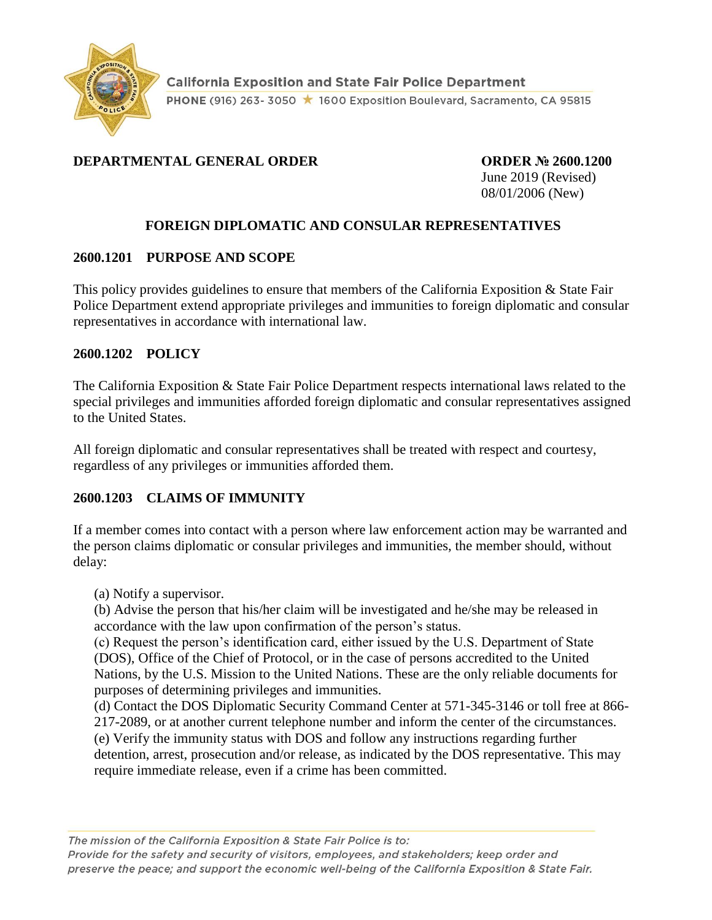

# **DEPARTMENTAL GENERAL ORDER ORDER № 2600.1200**

June 2019 (Revised) 08/01/2006 (New)

## **FOREIGN DIPLOMATIC AND CONSULAR REPRESENTATIVES**

#### **2600.1201 PURPOSE AND SCOPE**

This policy provides guidelines to ensure that members of the California Exposition & State Fair Police Department extend appropriate privileges and immunities to foreign diplomatic and consular representatives in accordance with international law.

#### **2600.1202 POLICY**

The California Exposition & State Fair Police Department respects international laws related to the special privileges and immunities afforded foreign diplomatic and consular representatives assigned to the United States.

All foreign diplomatic and consular representatives shall be treated with respect and courtesy, regardless of any privileges or immunities afforded them.

#### **2600.1203 CLAIMS OF IMMUNITY**

If a member comes into contact with a person where law enforcement action may be warranted and the person claims diplomatic or consular privileges and immunities, the member should, without delay:

(a) Notify a supervisor.

(b) Advise the person that his/her claim will be investigated and he/she may be released in accordance with the law upon confirmation of the person's status.

(c) Request the person's identification card, either issued by the U.S. Department of State (DOS), Office of the Chief of Protocol, or in the case of persons accredited to the United Nations, by the U.S. Mission to the United Nations. These are the only reliable documents for purposes of determining privileges and immunities.

(d) Contact the DOS Diplomatic Security Command Center at 571-345-3146 or toll free at 866- 217-2089, or at another current telephone number and inform the center of the circumstances. (e) Verify the immunity status with DOS and follow any instructions regarding further detention, arrest, prosecution and/or release, as indicated by the DOS representative. This may require immediate release, even if a crime has been committed.

The mission of the California Exposition & State Fair Police is to: Provide for the safety and security of visitors, employees, and stakeholders; keep order and preserve the peace; and support the economic well-being of the California Exposition & State Fair.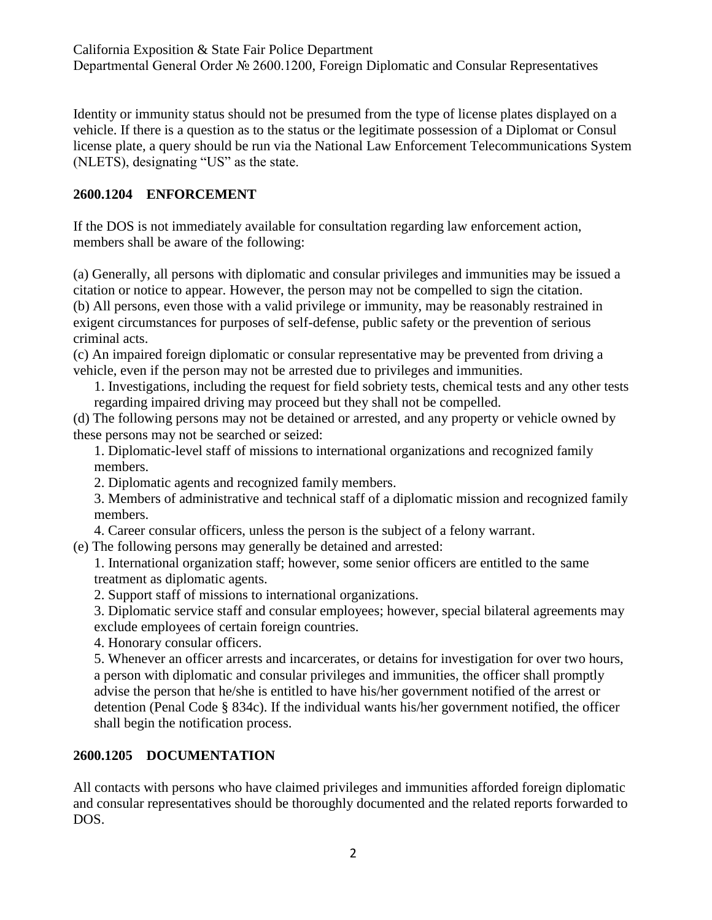California Exposition & State Fair Police Department Departmental General Order № 2600.1200, Foreign Diplomatic and Consular Representatives

Identity or immunity status should not be presumed from the type of license plates displayed on a vehicle. If there is a question as to the status or the legitimate possession of a Diplomat or Consul license plate, a query should be run via the National Law Enforcement Telecommunications System (NLETS), designating "US" as the state.

## **2600.1204 ENFORCEMENT**

If the DOS is not immediately available for consultation regarding law enforcement action, members shall be aware of the following:

(a) Generally, all persons with diplomatic and consular privileges and immunities may be issued a citation or notice to appear. However, the person may not be compelled to sign the citation. (b) All persons, even those with a valid privilege or immunity, may be reasonably restrained in exigent circumstances for purposes of self-defense, public safety or the prevention of serious criminal acts.

(c) An impaired foreign diplomatic or consular representative may be prevented from driving a vehicle, even if the person may not be arrested due to privileges and immunities.

1. Investigations, including the request for field sobriety tests, chemical tests and any other tests regarding impaired driving may proceed but they shall not be compelled.

(d) The following persons may not be detained or arrested, and any property or vehicle owned by these persons may not be searched or seized:

1. Diplomatic-level staff of missions to international organizations and recognized family members.

2. Diplomatic agents and recognized family members.

3. Members of administrative and technical staff of a diplomatic mission and recognized family members.

4. Career consular officers, unless the person is the subject of a felony warrant.

(e) The following persons may generally be detained and arrested:

1. International organization staff; however, some senior officers are entitled to the same treatment as diplomatic agents.

2. Support staff of missions to international organizations.

3. Diplomatic service staff and consular employees; however, special bilateral agreements may exclude employees of certain foreign countries.

4. Honorary consular officers.

5. Whenever an officer arrests and incarcerates, or detains for investigation for over two hours, a person with diplomatic and consular privileges and immunities, the officer shall promptly advise the person that he/she is entitled to have his/her government notified of the arrest or detention (Penal Code § 834c). If the individual wants his/her government notified, the officer shall begin the notification process.

# **2600.1205 DOCUMENTATION**

All contacts with persons who have claimed privileges and immunities afforded foreign diplomatic and consular representatives should be thoroughly documented and the related reports forwarded to DOS.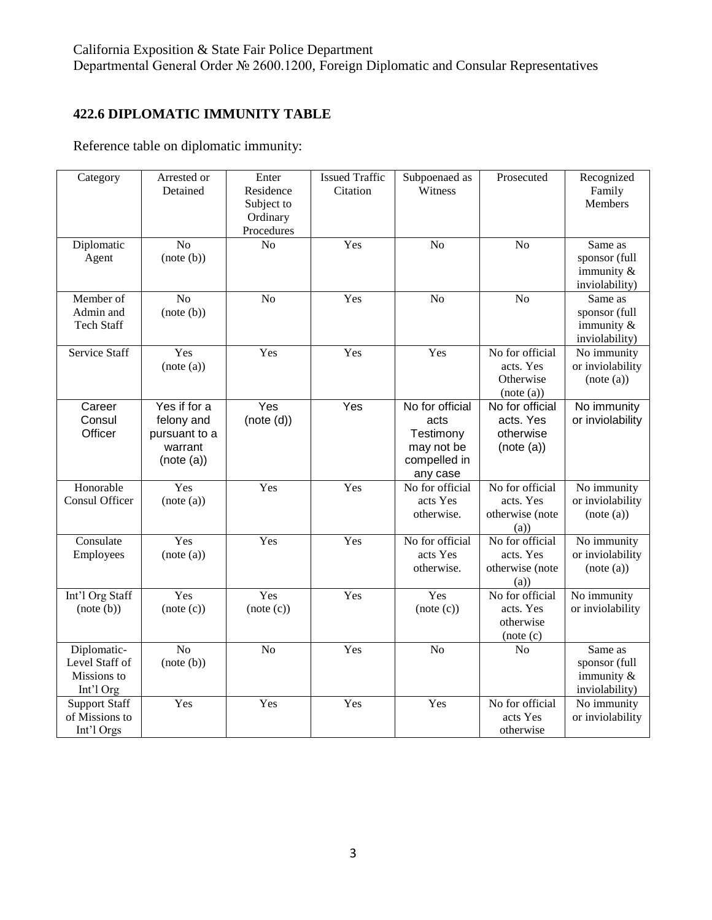# **422.6 DIPLOMATIC IMMUNITY TABLE**

Reference table on diplomatic immunity:

| Category                                                  | Arrested or<br>Detained                                              | Enter<br>Residence<br>Subject to<br>Ordinary<br>Procedures | <b>Issued Traffic</b><br>Citation | Subpoenaed as<br>Witness                                                       | Prosecuted                                              | Recognized<br>Family<br>Members                             |
|-----------------------------------------------------------|----------------------------------------------------------------------|------------------------------------------------------------|-----------------------------------|--------------------------------------------------------------------------------|---------------------------------------------------------|-------------------------------------------------------------|
| Diplomatic<br>Agent                                       | $\overline{No}$<br>(note(b))                                         | $\overline{No}$                                            | Yes                               | $\overline{No}$                                                                | $\overline{No}$                                         | Same as<br>sponsor (full<br>immunity &<br>inviolability)    |
| Member of<br>Admin and<br><b>Tech Staff</b>               | N <sub>o</sub><br>(note(b))                                          | N <sub>o</sub>                                             | Yes                               | No                                                                             | No                                                      | Same as<br>sponsor (full<br>immunity $\&$<br>inviolability) |
| <b>Service Staff</b>                                      | Yes<br>(note (a))                                                    | Yes                                                        | Yes                               | Yes                                                                            | No for official<br>acts. Yes<br>Otherwise<br>(note (a)) | No immunity<br>or inviolability<br>(note (a))               |
| Career<br>Consul<br>Officer                               | Yes if for a<br>felony and<br>pursuant to a<br>warrant<br>(note (a)) | Yes<br>(note(d))                                           | Yes                               | No for official<br>acts<br>Testimony<br>may not be<br>compelled in<br>any case | No for official<br>acts. Yes<br>otherwise<br>(note (a)) | No immunity<br>or inviolability                             |
| Honorable<br>Consul Officer                               | Yes<br>(note (a))                                                    | Yes                                                        | Yes                               | No for official<br>acts Yes<br>otherwise.                                      | No for official<br>acts. Yes<br>otherwise (note<br>(a)) | No immunity<br>or inviolability<br>(note (a))               |
| Consulate<br>Employees                                    | Yes<br>(note (a))                                                    | Yes                                                        | Yes                               | No for official<br>acts Yes<br>otherwise.                                      | No for official<br>acts. Yes<br>otherwise (note<br>(a)  | No immunity<br>or inviolability<br>(note (a))               |
| Int'l Org Staff<br>(note (b))                             | Yes<br>(note (c))                                                    | Yes<br>(note (c))                                          | Yes                               | Yes<br>(note (c))                                                              | No for official<br>acts. Yes<br>otherwise<br>(note (c)  | No immunity<br>or inviolability                             |
| Diplomatic-<br>Level Staff of<br>Missions to<br>Int'l Org | No<br>(note (b))                                                     | No                                                         | Yes                               | N <sub>o</sub>                                                                 | No                                                      | Same as<br>sponsor (full<br>immunity &<br>inviolability)    |
| <b>Support Staff</b><br>of Missions to<br>Int'l Orgs      | Yes                                                                  | Yes                                                        | Yes                               | Yes                                                                            | No for official<br>acts Yes<br>otherwise                | No immunity<br>or inviolability                             |